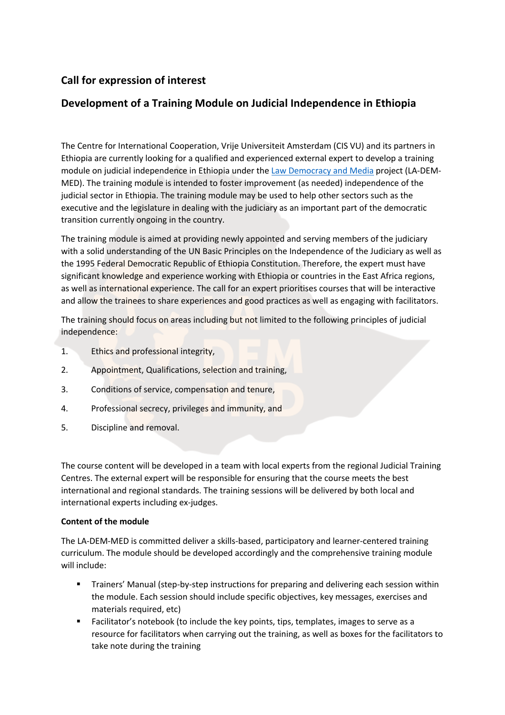## **Call for expression of interest**

## **Development of a Training Module on Judicial Independence in Ethiopia**

The Centre for International Cooperation, Vrije Universiteit Amsterdam (CIS VU) and its partners in Ethiopia are currently looking for a qualified and experienced external expert to develop a training module on judicial independence in Ethiopia under the Law Democracy and Media project (LA-DEM-MED). The training module is intended to foster improvement (as needed) independence of the judicial sector in Ethiopia. The training module may be used to help other sectors such as the executive and the legislature in dealing with the judiciary as an important part of the democratic transition currently ongoing in the country.

The training module is aimed at providing newly appointed and serving members of the judiciary with a solid understanding of the UN Basic Principles on the Independence of the Judiciary as well as the 1995 Federal Democratic Republic of Ethiopia Constitution. Therefore, the expert must have significant knowledge and experience working with Ethiopia or countries in the East Africa regions, as well as international experience. The call for an expert prioritises courses that will be interactive and allow the trainees to share experiences and good practices as well as engaging with facilitators.

The training should focus on areas including but not limited to the following principles of judicial independence:

- 1. Ethics and professional integrity,
- 2. Appointment, Qualifications, selection and training,
- 3. Conditions of service, compensation and tenure,
- 4. Professional secrecy, privileges and immunity, and
- 5. Discipline and removal.

The course content will be developed in a team with local experts from the regional Judicial Training Centres. The external expert will be responsible for ensuring that the course meets the best international and regional standards. The training sessions will be delivered by both local and international experts including ex-judges.

## **Content of the module**

The LA-DEM-MED is committed deliver a skills-based, participatory and learner-centered training curriculum. The module should be developed accordingly and the comprehensive training module will include:

- § Trainers' Manual (step-by-step instructions for preparing and delivering each session within the module. Each session should include specific objectives, key messages, exercises and materials required, etc)
- § Facilitator's notebook (to include the key points, tips, templates, images to serve as a resource for facilitators when carrying out the training, as well as boxes for the facilitators to take note during the training